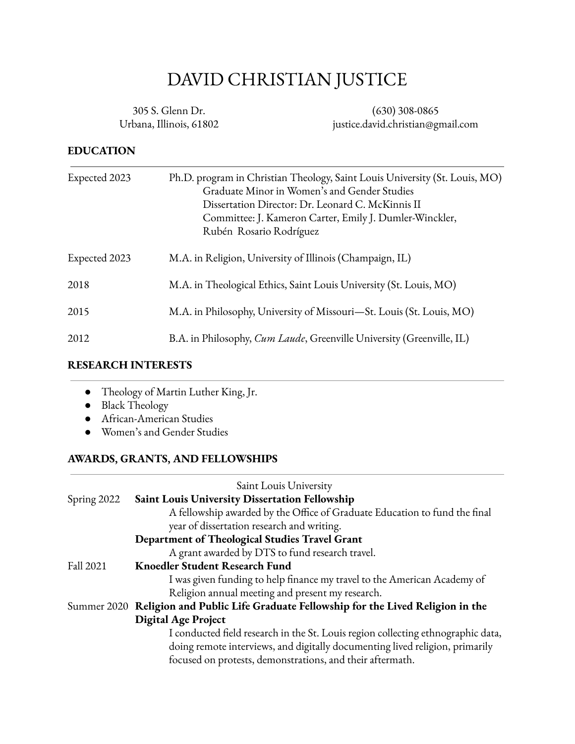# DAVID CHRISTIAN JUSTICE

305 S. Glenn Dr. Urbana, Illinois, 61802

(630) 308-0865 justice.david.christian@gmail.com

#### **EDUCATION**

| Expected 2023 | Ph.D. program in Christian Theology, Saint Louis University (St. Louis, MO)<br>Graduate Minor in Women's and Gender Studies<br>Dissertation Director: Dr. Leonard C. McKinnis II<br>Committee: J. Kameron Carter, Emily J. Dumler-Winckler,<br>Rubén Rosario Rodríguez |
|---------------|------------------------------------------------------------------------------------------------------------------------------------------------------------------------------------------------------------------------------------------------------------------------|
| Expected 2023 | M.A. in Religion, University of Illinois (Champaign, IL)                                                                                                                                                                                                               |
| 2018          | M.A. in Theological Ethics, Saint Louis University (St. Louis, MO)                                                                                                                                                                                                     |
| 2015          | M.A. in Philosophy, University of Missouri-St. Louis (St. Louis, MO)                                                                                                                                                                                                   |
| 2012          | B.A. in Philosophy, <i>Cum Laude</i> , Greenville University (Greenville, IL)                                                                                                                                                                                          |

#### **RESEARCH INTERESTS**

- Theology of Martin Luther King, Jr.
- Black Theology
- African-American Studies
- Women's and Gender Studies

#### **AWARDS, GRANTS, AND FELLOWSHIPS**

|             | Saint Louis University                                                                 |
|-------------|----------------------------------------------------------------------------------------|
| Spring 2022 | Saint Louis University Dissertation Fellowship                                         |
|             | A fellowship awarded by the Office of Graduate Education to fund the final             |
|             | year of dissertation research and writing.                                             |
|             | Department of Theological Studies Travel Grant                                         |
|             | A grant awarded by DTS to fund research travel.                                        |
| Fall 2021   | <b>Knoedler Student Research Fund</b>                                                  |
|             | I was given funding to help finance my travel to the American Academy of               |
|             | Religion annual meeting and present my research.                                       |
|             | Summer 2020 Religion and Public Life Graduate Fellowship for the Lived Religion in the |
|             | <b>Digital Age Project</b>                                                             |
|             | I conducted field research in the St. Louis region collecting ethnographic data,       |
|             | doing remote interviews, and digitally documenting lived religion, primarily           |
|             | focused on protests, demonstrations, and their aftermath.                              |
|             |                                                                                        |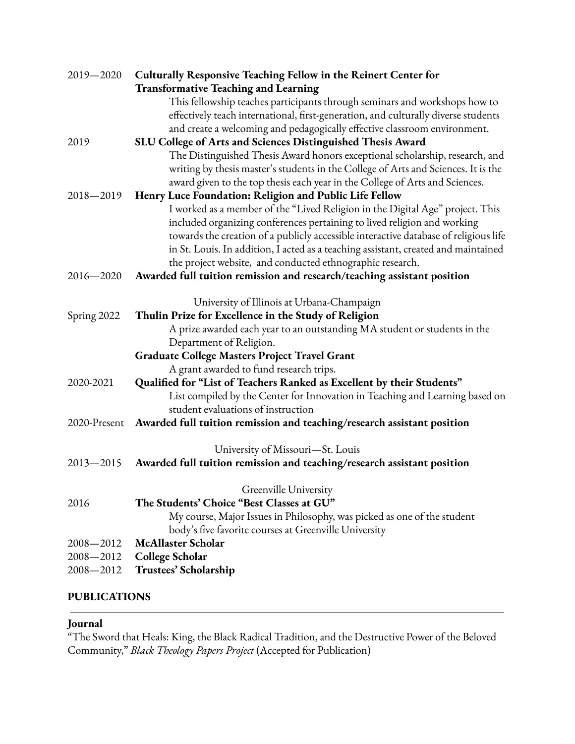| 2019-2020     | Culturally Responsive Teaching Fellow in the Reinert Center for                      |
|---------------|--------------------------------------------------------------------------------------|
|               | <b>Transformative Teaching and Learning</b>                                          |
|               | This fellowship teaches participants through seminars and workshops how to           |
|               | effectively teach international, first-generation, and culturally diverse students   |
|               | and create a welcoming and pedagogically effective classroom environment.            |
| 2019          | SLU College of Arts and Sciences Distinguished Thesis Award                          |
|               | The Distinguished Thesis Award honors exceptional scholarship, research, and         |
|               | writing by thesis master's students in the College of Arts and Sciences. It is the   |
|               | award given to the top thesis each year in the College of Arts and Sciences.         |
| 2018-2019     | Henry Luce Foundation: Religion and Public Life Fellow                               |
|               | I worked as a member of the "Lived Religion in the Digital Age" project. This        |
|               | included organizing conferences pertaining to lived religion and working             |
|               | towards the creation of a publicly accessible interactive database of religious life |
|               | in St. Louis. In addition, I acted as a teaching assistant, created and maintained   |
|               | the project website, and conducted ethnographic research.                            |
| $2016 - 2020$ | Awarded full tuition remission and research/teaching assistant position              |
|               |                                                                                      |
|               | University of Illinois at Urbana-Champaign                                           |
| Spring 2022   | Thulin Prize for Excellence in the Study of Religion                                 |
|               | A prize awarded each year to an outstanding MA student or students in the            |
|               | Department of Religion.                                                              |
|               | Graduate College Masters Project Travel Grant                                        |
|               | A grant awarded to fund research trips.                                              |
| 2020-2021     | Qualified for "List of Teachers Ranked as Excellent by their Students"               |
|               | List compiled by the Center for Innovation in Teaching and Learning based on         |
|               | student evaluations of instruction                                                   |
| 2020-Present  | Awarded full tuition remission and teaching/research assistant position              |
|               | University of Missouri-St. Louis                                                     |
| $2013 - 2015$ | Awarded full tuition remission and teaching/research assistant position              |
|               |                                                                                      |
|               | Greenville University                                                                |
| 2016          | The Students' Choice "Best Classes at GU"                                            |
|               | My course, Major Issues in Philosophy, was picked as one of the student              |
|               | body's five favorite courses at Greenville University                                |
| 2008-2012     | <b>McAllaster Scholar</b>                                                            |
| 2008-2012     | <b>College Scholar</b>                                                               |
| 2008-2012     | Trustees' Scholarship                                                                |

# **PUBLICATIONS**

# **Journal**

"The Sword that Heals: King, the Black Radical Tradition, and the Destructive Power of the Beloved Community," *Black Theology Papers Project* (Accepted for Publication)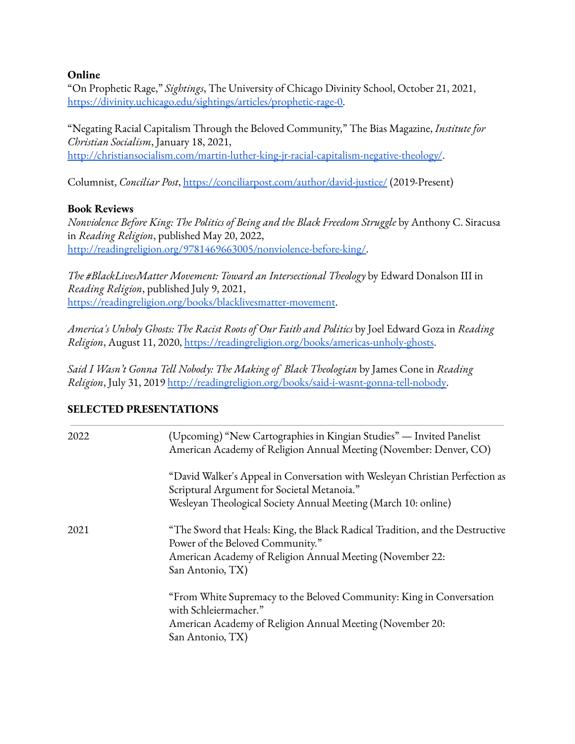#### **Online**

"On Prophetic Rage," *Sightings*, The University of Chicago Divinity School, October 21, 2021, [https://divinity.uchicago.edu/sightings/articles/prophetic-rage-0.](https://divinity.uchicago.edu/sightings/articles/prophetic-rage-0)

"Negating Racial Capitalism Through the Beloved Community," The Bias Magazine, *Institute for Christian Socialism*, January 18, 2021, <http://christiansocialism.com/martin-luther-king-jr-racial-capitalism-negative-theology/>.

Columnist, *Conciliar Post*, <https://conciliarpost.com/author/david-justice/> (2019-Present)

#### **Book Reviews**

*Nonviolence Before King: The Politics of Being and the Black Freedom Struggle* by Anthony C. Siracusa in *Reading Religion*, published May 20, 2022, [http://readingreligion.org/9781469663005/nonviolence-before-king/.](http://readingreligion.org/9781469663005/nonviolence-before-king/)

*The #BlackLivesMatter Movement: Toward an Intersectional Theology* by Edward Donalson III in *Reading Religion*, published July 9, 2021, <https://readingreligion.org/books/blacklivesmatter-movement>.

*America's Unholy Ghosts: The Racist Roots of Our Faith and Politics* by Joel Edward Goza in *Reading Religion*, August 11, 2020, <https://readingreligion.org/books/americas-unholy-ghosts>.

*Said I Wasn't Gonna Tell Nobody: The Making of Black Theologian* by James Cone in *Reading Religion*, July 31, 2019 [http://readingreligion.org/books/said-i-wasnt-gonna-tell-nobody.](http://readingreligion.org/books/said-i-wasnt-gonna-tell-nobody)

#### **SELECTED PRESENTATIONS**

| 2022 | (Upcoming) "New Cartographies in Kingian Studies" — Invited Panelist<br>American Academy of Religion Annual Meeting (November: Denver, CO)                                                         |
|------|----------------------------------------------------------------------------------------------------------------------------------------------------------------------------------------------------|
|      | "David Walker's Appeal in Conversation with Wesleyan Christian Perfection as<br>Scriptural Argument for Societal Metanoia."                                                                        |
|      | Wesleyan Theological Society Annual Meeting (March 10: online)                                                                                                                                     |
| 2021 | "The Sword that Heals: King, the Black Radical Tradition, and the Destructive<br>Power of the Beloved Community."<br>American Academy of Religion Annual Meeting (November 22:<br>San Antonio, TX) |
|      | "From White Supremacy to the Beloved Community: King in Conversation<br>with Schleiermacher."<br>American Academy of Religion Annual Meeting (November 20:<br>San Antonio, TX)                     |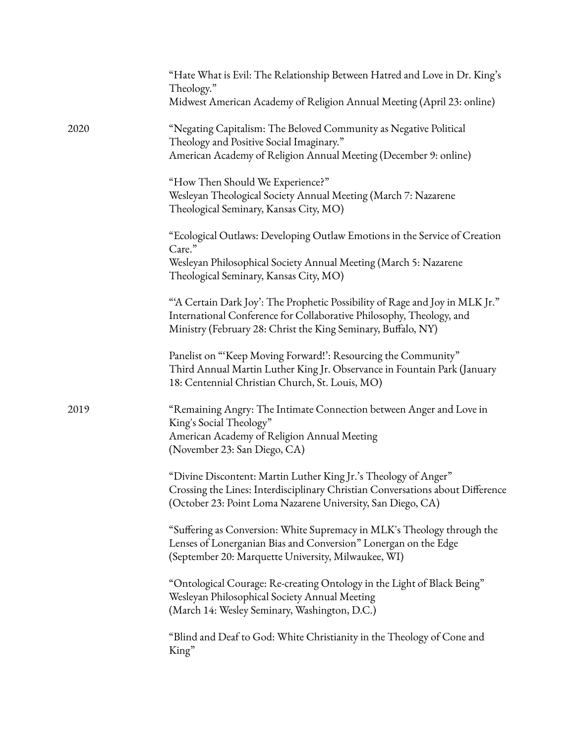|      | "Hate What is Evil: The Relationship Between Hatred and Love in Dr. King's<br>Theology."                                                                                                                             |
|------|----------------------------------------------------------------------------------------------------------------------------------------------------------------------------------------------------------------------|
|      | Midwest American Academy of Religion Annual Meeting (April 23: online)                                                                                                                                               |
| 2020 | "Negating Capitalism: The Beloved Community as Negative Political<br>Theology and Positive Social Imaginary."<br>American Academy of Religion Annual Meeting (December 9: online)                                    |
|      | "How Then Should We Experience?"<br>Wesleyan Theological Society Annual Meeting (March 7: Nazarene<br>Theological Seminary, Kansas City, MO)                                                                         |
|      | "Ecological Outlaws: Developing Outlaw Emotions in the Service of Creation<br>Care."                                                                                                                                 |
|      | Wesleyan Philosophical Society Annual Meeting (March 5: Nazarene<br>Theological Seminary, Kansas City, MO)                                                                                                           |
|      | "A Certain Dark Joy': The Prophetic Possibility of Rage and Joy in MLK Jr."<br>International Conference for Collaborative Philosophy, Theology, and<br>Ministry (February 28: Christ the King Seminary, Buffalo, NY) |
|      | Panelist on "Keep Moving Forward!': Resourcing the Community"<br>Third Annual Martin Luther King Jr. Observance in Fountain Park (January<br>18: Centennial Christian Church, St. Louis, MO)                         |
| 2019 | "Remaining Angry: The Intimate Connection between Anger and Love in<br>King's Social Theology"<br>American Academy of Religion Annual Meeting<br>(November 23: San Diego, CA)                                        |
|      | "Divine Discontent: Martin Luther King Jr.'s Theology of Anger"<br>Crossing the Lines: Interdisciplinary Christian Conversations about Difference<br>(October 23: Point Loma Nazarene University, San Diego, CA)     |
|      | "Suffering as Conversion: White Supremacy in MLK's Theology through the<br>Lenses of Lonerganian Bias and Conversion" Lonergan on the Edge<br>(September 20: Marquette University, Milwaukee, WI)                    |
|      | "Ontological Courage: Re-creating Ontology in the Light of Black Being"<br>Wesleyan Philosophical Society Annual Meeting<br>(March 14: Wesley Seminary, Washington, D.C.)                                            |
|      | "Blind and Deaf to God: White Christianity in the Theology of Cone and<br>King"                                                                                                                                      |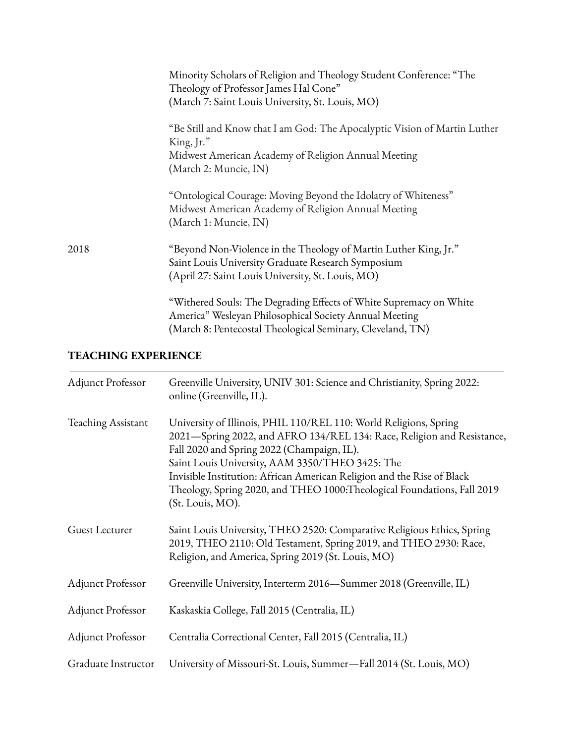|      | Minority Scholars of Religion and Theology Student Conference: "The<br>Theology of Professor James Hal Cone"<br>(March 7: Saint Louis University, St. Louis, MO)                           |
|------|--------------------------------------------------------------------------------------------------------------------------------------------------------------------------------------------|
|      | "Be Still and Know that I am God: The Apocalyptic Vision of Martin Luther<br>$King, Jr.$ "<br>Midwest American Academy of Religion Annual Meeting<br>(March 2: Muncie, IN)                 |
|      | "Ontological Courage: Moving Beyond the Idolatry of Whiteness"<br>Midwest American Academy of Religion Annual Meeting<br>(March 1: Muncie, IN)                                             |
| 2018 | "Beyond Non-Violence in the Theology of Martin Luther King, Jr."<br>Saint Louis University Graduate Research Symposium<br>(April 27: Saint Louis University, St. Louis, MO)                |
|      | "Withered Souls: The Degrading Effects of White Supremacy on White<br>America" Wesleyan Philosophical Society Annual Meeting<br>(March 8: Pentecostal Theological Seminary, Cleveland, TN) |

## **TEACHING EXPERIENCE**

| <b>Adjunct Professor</b>  | Greenville University, UNIV 301: Science and Christianity, Spring 2022:<br>online (Greenville, IL).                                                                                                                                                                                                                                                                                                                    |
|---------------------------|------------------------------------------------------------------------------------------------------------------------------------------------------------------------------------------------------------------------------------------------------------------------------------------------------------------------------------------------------------------------------------------------------------------------|
| <b>Teaching Assistant</b> | University of Illinois, PHIL 110/REL 110: World Religions, Spring<br>2021-Spring 2022, and AFRO 134/REL 134: Race, Religion and Resistance,<br>Fall 2020 and Spring 2022 (Champaign, IL).<br>Saint Louis University, AAM 3350/THEO 3425: The<br>Invisible Institution: African American Religion and the Rise of Black<br>Theology, Spring 2020, and THEO 1000: Theological Foundations, Fall 2019<br>(St. Louis, MO). |
| Guest Lecturer            | Saint Louis University, THEO 2520: Comparative Religious Ethics, Spring<br>2019, THEO 2110: Old Testament, Spring 2019, and THEO 2930: Race,<br>Religion, and America, Spring 2019 (St. Louis, MO)                                                                                                                                                                                                                     |
| <b>Adjunct Professor</b>  | Greenville University, Interterm 2016-Summer 2018 (Greenville, IL)                                                                                                                                                                                                                                                                                                                                                     |
| <b>Adjunct Professor</b>  | Kaskaskia College, Fall 2015 (Centralia, IL)                                                                                                                                                                                                                                                                                                                                                                           |
| <b>Adjunct Professor</b>  | Centralia Correctional Center, Fall 2015 (Centralia, IL)                                                                                                                                                                                                                                                                                                                                                               |
| Graduate Instructor       | University of Missouri-St. Louis, Summer—Fall 2014 (St. Louis, MO)                                                                                                                                                                                                                                                                                                                                                     |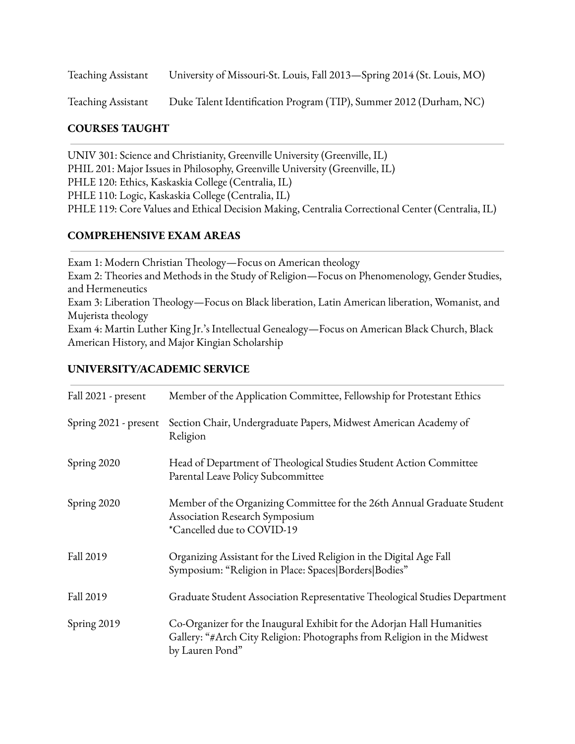Teaching Assistant University of Missouri-St. Louis, Fall 2013—Spring 2014 (St. Louis, MO)

Teaching Assistant Duke Talent Identification Program (TIP), Summer 2012 (Durham, NC)

#### **COURSES TAUGHT**

UNIV 301: Science and Christianity, Greenville University (Greenville, IL) PHIL 201: Major Issues in Philosophy, Greenville University (Greenville, IL) PHLE 120: Ethics, Kaskaskia College (Centralia, IL) PHLE 110: Logic, Kaskaskia College (Centralia, IL) PHLE 119: Core Values and Ethical Decision Making, Centralia Correctional Center (Centralia, IL)

#### **COMPREHENSIVE EXAM AREAS**

Exam 1: Modern Christian Theology—Focus on American theology Exam 2: Theories and Methods in the Study of Religion—Focus on Phenomenology, Gender Studies, and Hermeneutics Exam 3: Liberation Theology—Focus on Black liberation, Latin American liberation, Womanist, and Mujerista theology Exam 4: Martin Luther King Jr.'s Intellectual Genealogy—Focus on American Black Church, Black American History, and Major Kingian Scholarship

#### **UNIVERSITY/ACADEMIC SERVICE**

| Fall 2021 - present   | Member of the Application Committee, Fellowship for Protestant Ethics                                                                                                |
|-----------------------|----------------------------------------------------------------------------------------------------------------------------------------------------------------------|
| Spring 2021 - present | Section Chair, Undergraduate Papers, Midwest American Academy of<br>Religion                                                                                         |
| Spring 2020           | Head of Department of Theological Studies Student Action Committee<br>Parental Leave Policy Subcommittee                                                             |
| Spring 2020           | Member of the Organizing Committee for the 26th Annual Graduate Student<br>Association Research Symposium<br>*Cancelled due to COVID-19                              |
| Fall 2019             | Organizing Assistant for the Lived Religion in the Digital Age Fall<br>Symposium: "Religion in Place: Spaces Borders Bodies"                                         |
| Fall 2019             | Graduate Student Association Representative Theological Studies Department                                                                                           |
| Spring 2019           | Co-Organizer for the Inaugural Exhibit for the Adorjan Hall Humanities<br>Gallery: "#Arch City Religion: Photographs from Religion in the Midwest<br>by Lauren Pond" |